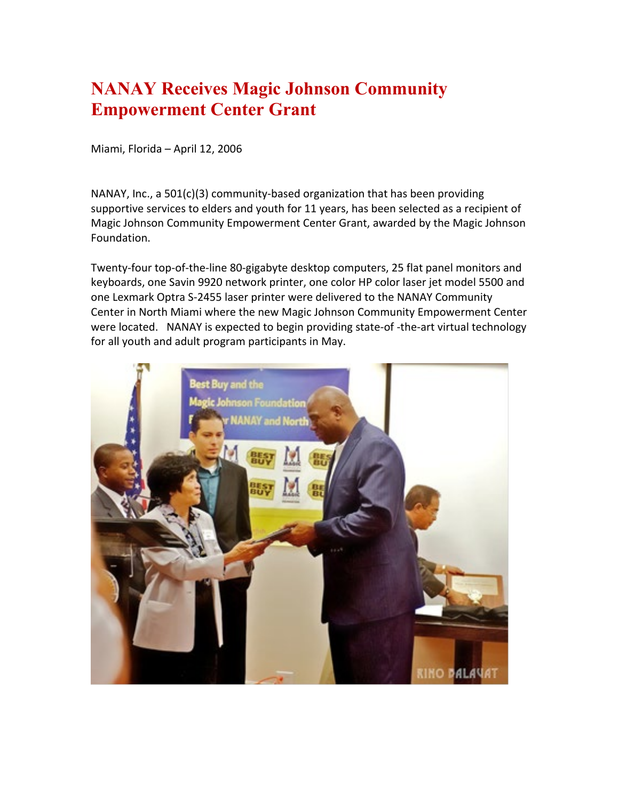## **NANAY Receives Magic Johnson Community Empowerment Center Grant**

Miami, Florida – April 12, 2006

NANAY, Inc., a 501(c)(3) community-based organization that has been providing supportive services to elders and youth for 11 years, has been selected as a recipient of Magic Johnson Community Empowerment Center Grant, awarded by the Magic Johnson Foundation.

Twenty-four top-of-the-line 80-gigabyte desktop computers, 25 flat panel monitors and keyboards, one Savin 9920 network printer, one color HP color laser jet model 5500 and one Lexmark Optra S-2455 laser printer were delivered to the NANAY Community Center in North Miami where the new Magic Johnson Community Empowerment Center were located. NANAY is expected to begin providing state-of -the-art virtual technology for all youth and adult program participants in May.

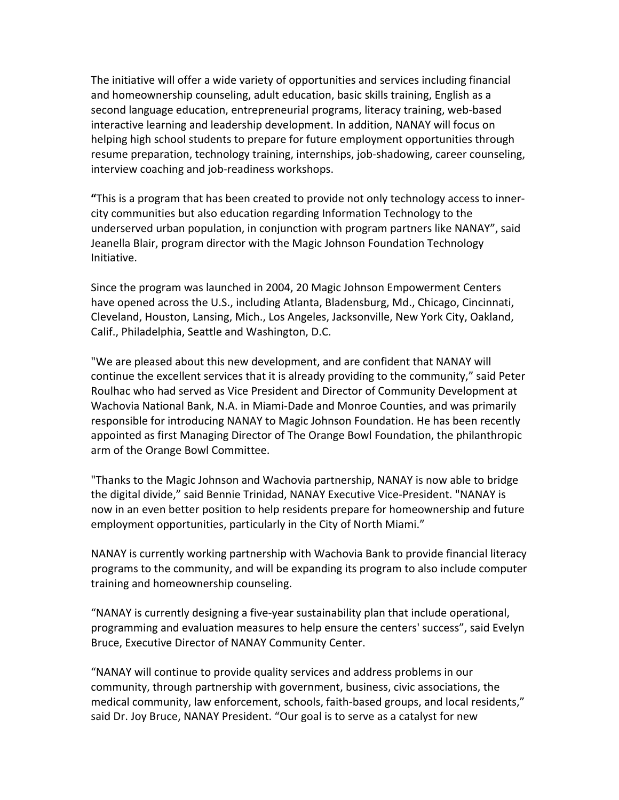The initiative will offer a wide variety of opportunities and services including financial and homeownership counseling, adult education, basic skills training, English as a second language education, entrepreneurial programs, literacy training, web-based interactive learning and leadership development. In addition, NANAY will focus on helping high school students to prepare for future employment opportunities through resume preparation, technology training, internships, job-shadowing, career counseling, interview coaching and job-readiness workshops.

**"**This is a program that has been created to provide not only technology access to innercity communities but also education regarding Information Technology to the underserved urban population, in conjunction with program partners like NANAY", said Jeanella Blair, program director with the Magic Johnson Foundation Technology Initiative.

Since the program was launched in 2004, 20 Magic Johnson Empowerment Centers have opened across the U.S., including Atlanta, Bladensburg, Md., Chicago, Cincinnati, Cleveland, Houston, Lansing, Mich., Los Angeles, Jacksonville, New York City, Oakland, Calif., Philadelphia, Seattle and Washington, D.C.

"We are pleased about this new development, and are confident that NANAY will continue the excellent services that it is already providing to the community," said Peter Roulhac who had served as Vice President and Director of Community Development at Wachovia National Bank, N.A. in Miami-Dade and Monroe Counties, and was primarily responsible for introducing NANAY to Magic Johnson Foundation. He has been recently appointed as first Managing Director of The Orange Bowl Foundation, the philanthropic arm of the Orange Bowl Committee.

"Thanks to the Magic Johnson and Wachovia partnership, NANAY is now able to bridge the digital divide," said Bennie Trinidad, NANAY Executive Vice-President. "NANAY is now in an even better position to help residents prepare for homeownership and future employment opportunities, particularly in the City of North Miami."

NANAY is currently working partnership with Wachovia Bank to provide financial literacy programs to the community, and will be expanding its program to also include computer training and homeownership counseling.

"NANAY is currently designing a five-year sustainability plan that include operational, programming and evaluation measures to help ensure the centers' success", said Evelyn Bruce, Executive Director of NANAY Community Center.

"NANAY will continue to provide quality services and address problems in our community, through partnership with government, business, civic associations, the medical community, law enforcement, schools, faith-based groups, and local residents," said Dr. Joy Bruce, NANAY President. "Our goal is to serve as a catalyst for new